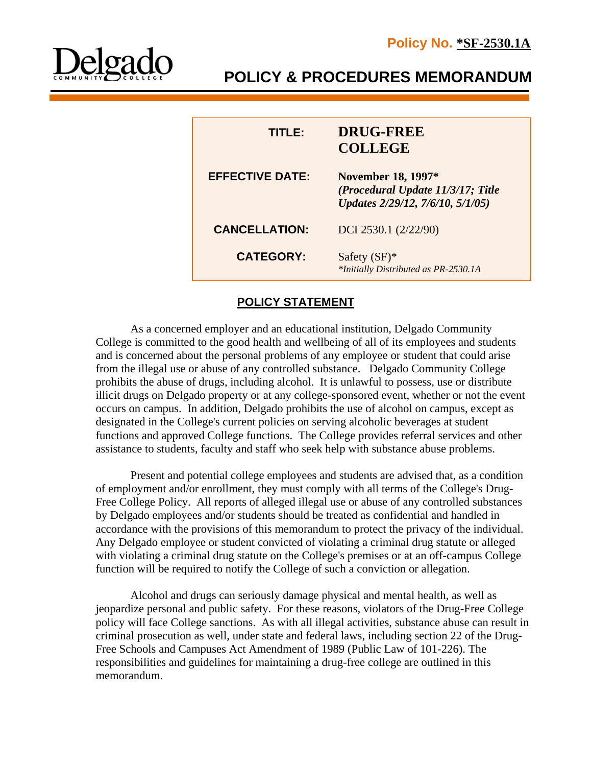

# **POLICY & PROCEDURES MEMORANDUM**

| TITI E:                | <b>DRUG-FREE</b><br><b>COLLEGE</b>                                                                 |
|------------------------|----------------------------------------------------------------------------------------------------|
| <b>EFFECTIVE DATE:</b> | <b>November 18, 1997*</b><br>(Procedural Update 11/3/17; Title<br>Updates 2/29/12, 7/6/10, 5/1/05) |
| <b>CANCELLATION:</b>   | DCI 2530.1 (2/22/90)                                                                               |
| <b>CATEGORY:</b>       | Safety $(SF)^*$<br>*Initially Distributed as PR-2530.1A                                            |

# **POLICY STATEMENT**

As a concerned employer and an educational institution, Delgado Community College is committed to the good health and wellbeing of all of its employees and students and is concerned about the personal problems of any employee or student that could arise from the illegal use or abuse of any controlled substance. Delgado Community College prohibits the abuse of drugs, including alcohol. It is unlawful to possess, use or distribute illicit drugs on Delgado property or at any college-sponsored event, whether or not the event occurs on campus. In addition, Delgado prohibits the use of alcohol on campus, except as designated in the College's current policies on serving alcoholic beverages at student functions and approved College functions. The College provides referral services and other assistance to students, faculty and staff who seek help with substance abuse problems.

Present and potential college employees and students are advised that, as a condition of employment and/or enrollment, they must comply with all terms of the College's Drug-Free College Policy. All reports of alleged illegal use or abuse of any controlled substances by Delgado employees and/or students should be treated as confidential and handled in accordance with the provisions of this memorandum to protect the privacy of the individual. Any Delgado employee or student convicted of violating a criminal drug statute or alleged with violating a criminal drug statute on the College's premises or at an off-campus College function will be required to notify the College of such a conviction or allegation.

Alcohol and drugs can seriously damage physical and mental health, as well as jeopardize personal and public safety. For these reasons, violators of the Drug-Free College policy will face College sanctions. As with all illegal activities, substance abuse can result in criminal prosecution as well, under state and federal laws, including section 22 of the Drug-Free Schools and Campuses Act Amendment of 1989 (Public Law of 101-226). The responsibilities and guidelines for maintaining a drug-free college are outlined in this memorandum.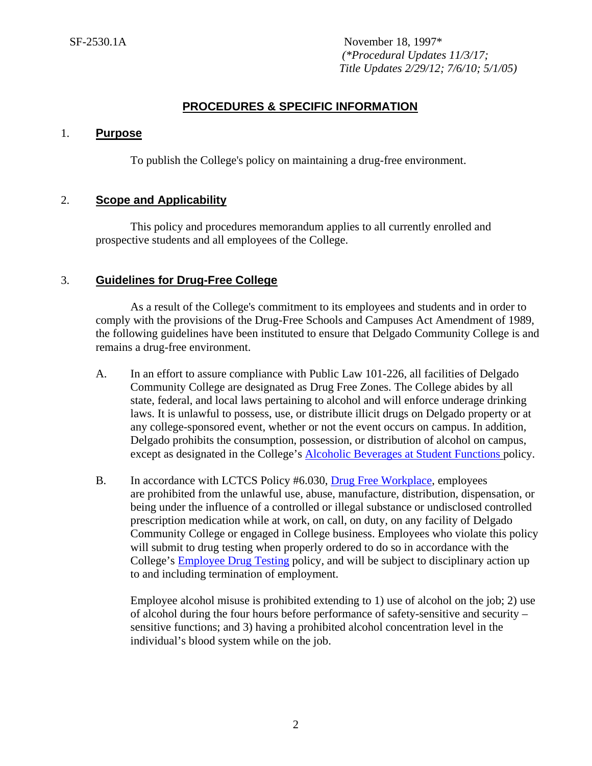# **PROCEDURES & SPECIFIC INFORMATION**

## 1. **Purpose**

To publish the College's policy on maintaining a drug-free environment.

## 2. **Scope and Applicability**

This policy and procedures memorandum applies to all currently enrolled and prospective students and all employees of the College.

## 3. **Guidelines for Drug-Free College**

As a result of the College's commitment to its employees and students and in order to comply with the provisions of the Drug-Free Schools and Campuses Act Amendment of 1989, the following guidelines have been instituted to ensure that Delgado Community College is and remains a drug-free environment.

- A. In an effort to assure compliance with Public Law 101-226, all facilities of Delgado Community College are designated as Drug Free Zones. The College abides by all state, federal, and local laws pertaining to alcohol and will enforce underage drinking laws. It is unlawful to possess, use, or distribute illicit drugs on Delgado property or at any college-sponsored event, whether or not the event occurs on campus. In addition, Delgado prohibits the consumption, possession, or distribution of alcohol on campus, except as designated in the College's [Alcoholic Beverages at Student Functions](http://docushare3.dcc.edu/docushare/dsweb/Get/Document-89/) policy.
- B. In accordance with LCTCS Policy #6.030, [Drug Free Workplace,](https://campussuite-storage.s3.amazonaws.com/prod/1558543/91b64910-2d2e-11e8-8c09-0a7155647e8a/1804643/9a37fd44-9021-11e8-a549-0ab7fc46a4d0/file/HR%20Policy%206.030.pdf) employees are prohibited from the unlawful use, abuse, manufacture, distribution, dispensation, or being under the influence of a controlled or illegal substance or undisclosed controlled prescription medication while at work, on call, on duty, on any facility of Delgado Community College or engaged in College business. Employees who violate this policy will submit to drug testing when properly ordered to do so in accordance with the College's [Employee Drug Testing](http://docushare3.dcc.edu/docushare/dsweb/Get/Document-71) policy, and will be subject to disciplinary action up to and including termination of employment.

Employee alcohol misuse is prohibited extending to 1) use of alcohol on the job; 2) use of alcohol during the four hours before performance of safety-sensitive and security – sensitive functions; and 3) having a prohibited alcohol concentration level in the individual's blood system while on the job.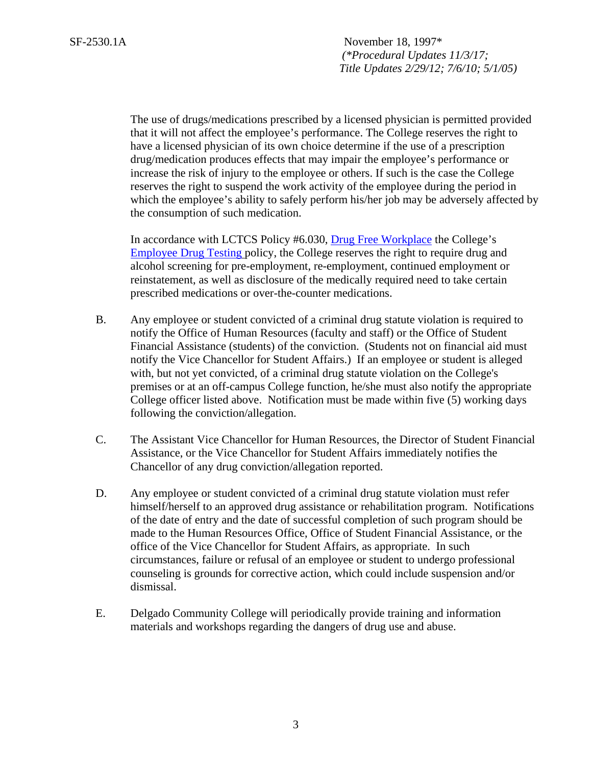> The use of drugs/medications prescribed by a licensed physician is permitted provided that it will not affect the employee's performance. The College reserves the right to have a licensed physician of its own choice determine if the use of a prescription drug/medication produces effects that may impair the employee's performance or increase the risk of injury to the employee or others. If such is the case the College reserves the right to suspend the work activity of the employee during the period in which the employee's ability to safely perform his/her job may be adversely affected by the consumption of such medication.

In accordance with LCTCS Policy #6.030, [Drug Free Workplace](https://campussuite-storage.s3.amazonaws.com/prod/1558543/91b64910-2d2e-11e8-8c09-0a7155647e8a/1804643/9a37fd44-9021-11e8-a549-0ab7fc46a4d0/file/HR%20Policy%206.030.pdf) the College's [Employee Drug Testing](http://docushare3.dcc.edu/docushare/dsweb/Get/Document-71) policy, the College reserves the right to require drug and alcohol screening for pre-employment, re-employment, continued employment or reinstatement, as well as disclosure of the medically required need to take certain prescribed medications or over-the-counter medications.

- B. Any employee or student convicted of a criminal drug statute violation is required to notify the Office of Human Resources (faculty and staff) or the Office of Student Financial Assistance (students) of the conviction. (Students not on financial aid must notify the Vice Chancellor for Student Affairs.) If an employee or student is alleged with, but not yet convicted, of a criminal drug statute violation on the College's premises or at an off-campus College function, he/she must also notify the appropriate College officer listed above. Notification must be made within five (5) working days following the conviction/allegation.
- C. The Assistant Vice Chancellor for Human Resources, the Director of Student Financial Assistance, or the Vice Chancellor for Student Affairs immediately notifies the Chancellor of any drug conviction/allegation reported.
- D. Any employee or student convicted of a criminal drug statute violation must refer himself/herself to an approved drug assistance or rehabilitation program. Notifications of the date of entry and the date of successful completion of such program should be made to the Human Resources Office, Office of Student Financial Assistance, or the office of the Vice Chancellor for Student Affairs, as appropriate. In such circumstances, failure or refusal of an employee or student to undergo professional counseling is grounds for corrective action, which could include suspension and/or dismissal.
- E. Delgado Community College will periodically provide training and information materials and workshops regarding the dangers of drug use and abuse.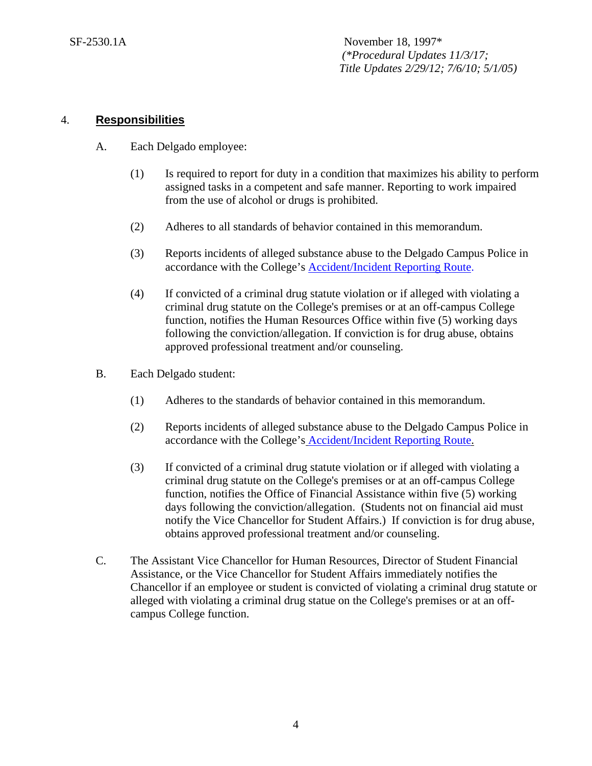### 4. **Responsibilities**

- A. Each Delgado employee:
	- (1) Is required to report for duty in a condition that maximizes his ability to perform assigned tasks in a competent and safe manner. Reporting to work impaired from the use of alcohol or drugs is prohibited.
	- (2) Adheres to all standards of behavior contained in this memorandum.
	- (3) Reports incidents of alleged substance abuse to the Delgado Campus Police in accordance with the College's [Accident/Incident Reporting Route.](http://docushare3.dcc.edu/docushare/dsweb/Get/Document-4942)
	- (4) If convicted of a criminal drug statute violation or if alleged with violating a criminal drug statute on the College's premises or at an off-campus College function, notifies the Human Resources Office within five (5) working days following the conviction/allegation. If conviction is for drug abuse, obtains approved professional treatment and/or counseling.
- B. Each Delgado student:
	- (1) Adheres to the standards of behavior contained in this memorandum.
	- (2) Reports incidents of alleged substance abuse to the Delgado Campus Police in accordance with the College's [Accident/Incident Reporting Route.](http://docushare3.dcc.edu/docushare/dsweb/Get/Document-4942)
	- (3) If convicted of a criminal drug statute violation or if alleged with violating a criminal drug statute on the College's premises or at an off-campus College function, notifies the Office of Financial Assistance within five (5) working days following the conviction/allegation. (Students not on financial aid must notify the Vice Chancellor for Student Affairs.) If conviction is for drug abuse, obtains approved professional treatment and/or counseling.
- C. The Assistant Vice Chancellor for Human Resources, Director of Student Financial Assistance, or the Vice Chancellor for Student Affairs immediately notifies the Chancellor if an employee or student is convicted of violating a criminal drug statute or alleged with violating a criminal drug statue on the College's premises or at an offcampus College function.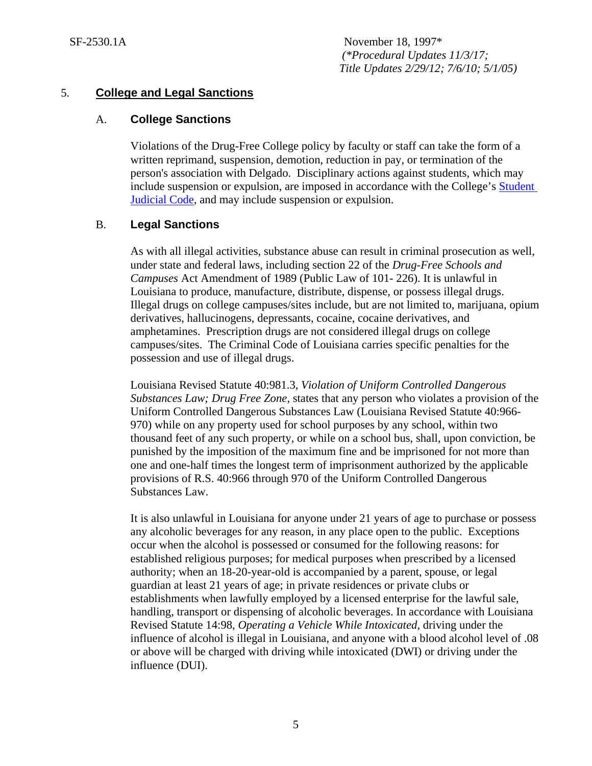## 5. **College and Legal Sanctions**

## A. **College Sanctions**

Violations of the Drug-Free College policy by faculty or staff can take the form of a written reprimand, suspension, demotion, reduction in pay, or termination of the person's association with Delgado. Disciplinary actions against students, which may include suspension or expulsion, are imposed in accordance with the College's [Student](http://docushare3.dcc.edu/docushare/dsweb/Get/Document-80/)  [Judicial Code,](http://docushare3.dcc.edu/docushare/dsweb/Get/Document-80/) and may include suspension or expulsion.

## B. **Legal Sanctions**

As with all illegal activities, substance abuse can result in criminal prosecution as well, under state and federal laws, including section 22 of the *Drug-Free Schools and Campuses* Act Amendment of 1989 (Public Law of 101- 226). It is unlawful in Louisiana to produce, manufacture, distribute, dispense, or possess illegal drugs. Illegal drugs on college campuses/sites include, but are not limited to, marijuana, opium derivatives, hallucinogens, depressants, cocaine, cocaine derivatives, and amphetamines. Prescription drugs are not considered illegal drugs on college campuses/sites. The Criminal Code of Louisiana carries specific penalties for the possession and use of illegal drugs.

Louisiana Revised Statute 40:981.3, *Violation of Uniform Controlled Dangerous Substances Law; Drug Free Zone*, states that any person who violates a provision of the Uniform Controlled Dangerous Substances Law (Louisiana Revised Statute 40:966- 970) while on any property used for school purposes by any school, within two thousand feet of any such property, or while on a school bus, shall, upon conviction, be punished by the imposition of the maximum fine and be imprisoned for not more than one and one-half times the longest term of imprisonment authorized by the applicable provisions of R.S. 40:966 through 970 of the Uniform Controlled Dangerous Substances Law.

It is also unlawful in Louisiana for anyone under 21 years of age to purchase or possess any alcoholic beverages for any reason, in any place open to the public. Exceptions occur when the alcohol is possessed or consumed for the following reasons: for established religious purposes; for medical purposes when prescribed by a licensed authority; when an 18-20-year-old is accompanied by a parent, spouse, or legal guardian at least 21 years of age; in private residences or private clubs or establishments when lawfully employed by a licensed enterprise for the lawful sale, handling, transport or dispensing of alcoholic beverages. In accordance with Louisiana Revised Statute 14:98, *Operating a Vehicle While Intoxicated*, driving under the influence of alcohol is illegal in Louisiana, and anyone with a blood alcohol level of .08 or above will be charged with driving while intoxicated (DWI) or driving under the influence (DUI).